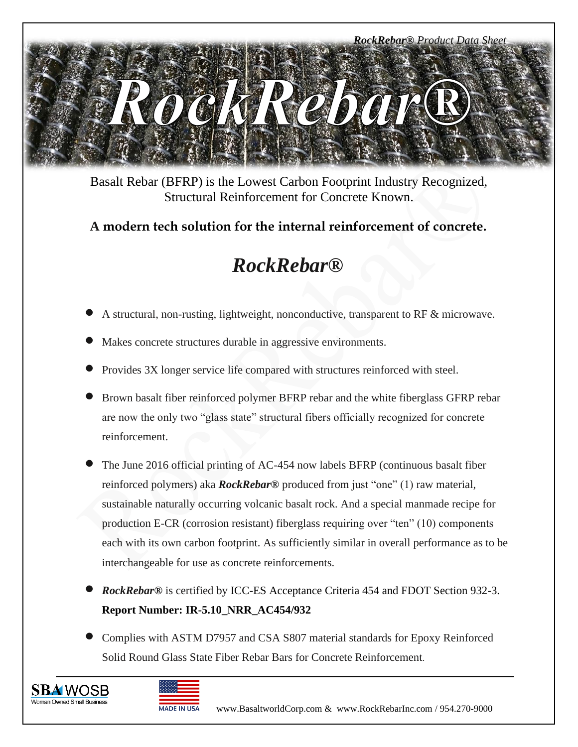

Basalt Rebar (BFRP) is the Lowest Carbon Footprint Industry Recognized, Structural Reinforcement for Concrete Known.

## **A modern tech solution for the internal reinforcement of concrete.**

# *RockRebar®*

- <sup>A</sup> structural, non-rusting, lightweight, nonconductive, transparent to RF & microwave.
- Makes concrete structures durable in aggressive environments.
- Provides 3X longer service life compared with structures reinforced with steel.
- Brown basalt fiber reinforced polymer BFRP rebar and the white fiberglass GFRP rebar are now the only two "glass state" structural fibers officially recognized for concrete reinforcement.
- The June 2016 official printing of AC-454 now labels BFRP (continuous basalt fiber reinforced polymers) aka *RockRebar®* produced from just "one" (1) raw material, sustainable naturally occurring volcanic basalt rock. And a special manmade recipe for production E-CR (corrosion resistant) fiberglass requiring over "ten" (10) components each with its own carbon footprint. As sufficiently similar in overall performance as to be interchangeable for use as concrete reinforcements.
- *RockRebar®* is certified by ICC-ES Acceptance Criteria 454 and FDOT Section 932-3. **Report Number: IR-5.10\_NRR\_AC454/932**
- Complies with ASTM D7957 and CSA S807 material standards for Epoxy Reinforced Solid Round Glass State Fiber Rebar Bars for Concrete Reinforcement.



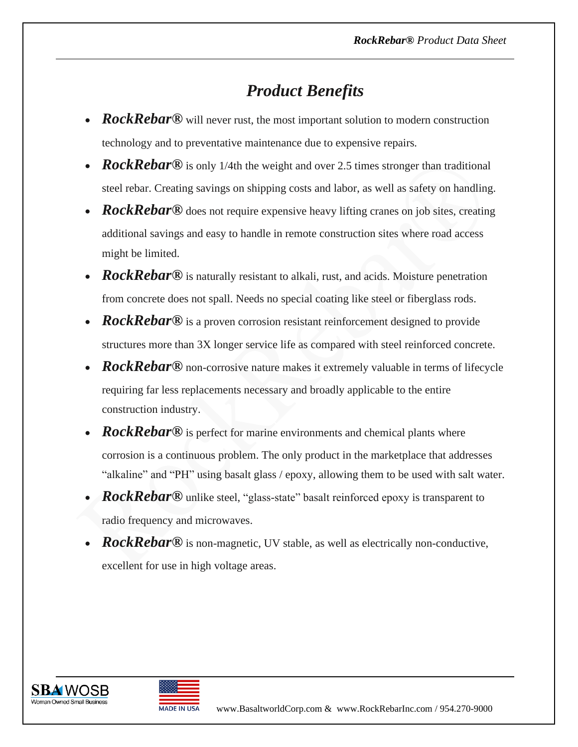# *Product Benefits*

- *RockRebar***®** will never rust, the most important solution to modern construction technology and to preventative maintenance due to expensive repairs*.*
- *RockRebar***®** is only 1/4th the weight and over 2.5 times stronger than traditional steel rebar. Creating savings on shipping costs and labor, as well as safety on handling.
- *RockRebar***®** does not require expensive heavy lifting cranes on job sites, creating additional savings and easy to handle in remote construction sites where road access might be limited.
- *RockRebar***®** is naturally resistant to alkali, rust, and acids. Moisture penetration from concrete does not spall. Needs no special coating like steel or fiberglass rods.
- *RockRebar***®** is a proven corrosion resistant reinforcement designed to provide structures more than 3X longer service life as compared with steel reinforced concrete.
- *RockRebar***®** non-corrosive nature makes it extremely valuable in terms of lifecycle requiring far less replacements necessary and broadly applicable to the entire construction industry.
- *RockRebar***®** is perfect for marine environments and chemical plants where corrosion is a continuous problem. The only product in the marketplace that addresses "alkaline" and "PH" using basalt glass / epoxy, allowing them to be used with salt water.
- *RockRebar*® unlike steel, "glass-state" basalt reinforced epoxy is transparent to radio frequency and microwaves.
- *RockRebar***®** is non-magnetic, UV stable, as well as electrically non-conductive, excellent for use in high voltage areas.



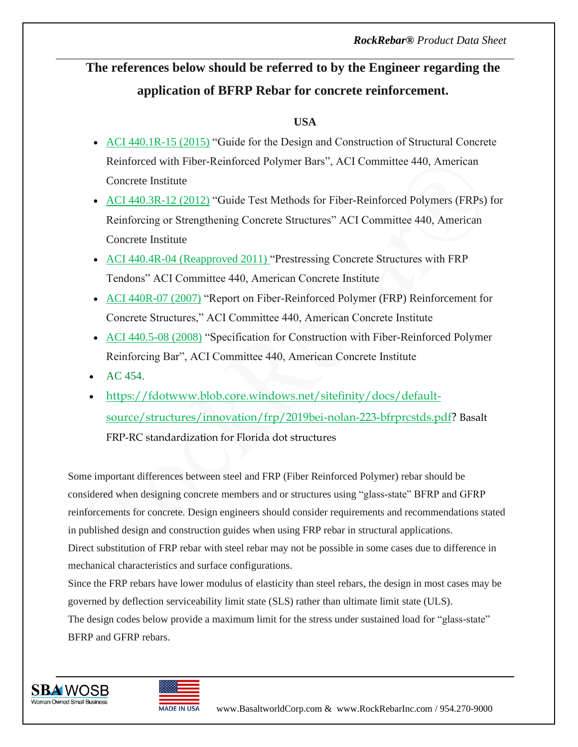# **The references below should be referred to by the Engineer regarding the application of BFRP Rebar for concrete reinforcement.**

#### **USA**

- [ACI 440.1R-15 \(2015\)](https://www.concrete.org/store/productdetail.aspx?ItemID=440115) "Guide for the Design and Construction of Structural Concrete Reinforced with Fiber-Reinforced Polymer Bars", ACI Committee 440, American Concrete Institute
- [ACI 440.3R-12 \(2012\)](https://www.concrete.org/store/productdetail.aspx?ItemID=440312) "Guide Test Methods for Fiber-Reinforced Polymers (FRPs) for Reinforcing or Strengthening Concrete Structures" ACI Committee 440, American Concrete Institute
- [ACI 440.4R-04 \(Reapproved 2011\)](https://www.concrete.org/store/productdetail.aspx?ItemID=440404) "Prestressing Concrete Structures with FRP Tendons" ACI Committee 440, American Concrete Institute
- [ACI 440R-07 \(2007\)](https://www.concrete.org/store/productdetail.aspx?ItemID=44007&Format=DOWNLOAD&ReturnUrl=http%3A%2F%2Fwww.concrete.org%2Fstore%2Fstoreresults.aspx%3FSortOrder%3DRELEVANCE%26Keyword%3D440R-07%23dnn_ctr5215_SearchResults44007) "Report on Fiber-Reinforced Polymer (FRP) Reinforcement for Concrete Structures," ACI Committee 440, American Concrete Institute
- [ACI 440.5-08 \(2008\)](https://www.concrete.org/store/productdetail.aspx?ItemID=440508&Format=DOWNLOAD) "Specification for Construction with Fiber-Reinforced Polymer Reinforcing Bar", ACI Committee 440, American Concrete Institute
- $AC 454.$
- [https://fdotwww.blob.core.windows.net/sitefinity/docs/default](https://fdotwww.blob.core.windows.net/sitefinity/docs/default-source/structures/innovation/frp/2019bei-nolan-223-bfrprcstds.pdf)[source/structures/innovation/frp/2019bei-nolan-223-bfrprcstds.pdf?](https://fdotwww.blob.core.windows.net/sitefinity/docs/default-source/structures/innovation/frp/2019bei-nolan-223-bfrprcstds.pdf) Basalt FRP-RC standardization for Florida dot structures

Some important differences between steel and FRP (Fiber Reinforced Polymer) rebar should be considered when designing concrete members and or structures using "glass-state" BFRP and GFRP reinforcements for concrete. Design engineers should consider requirements and recommendations stated in published design and construction guides when using FRP rebar in structural applications. Direct substitution of FRP rebar with steel rebar may not be possible in some cases due to difference in mechanical characteristics and surface configurations.

Since the FRP rebars have lower modulus of elasticity than steel rebars, the design in most cases may be governed by deflection serviceability limit state (SLS) rather than ultimate limit state (ULS). The design codes below provide a maximum limit for the stress under sustained load for "glass-state" BFRP and GFRP rebars.



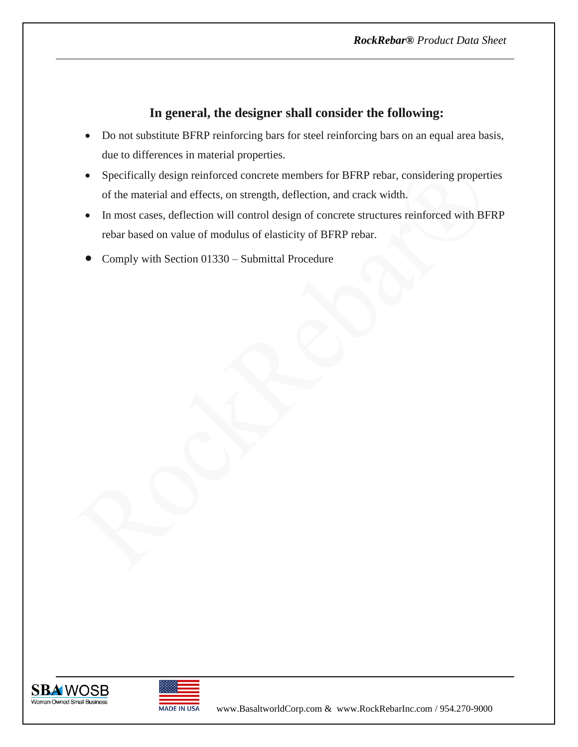### **In general, the designer shall consider the following:**

- Do not substitute BFRP reinforcing bars for steel reinforcing bars on an equal area basis, due to differences in material properties.
- Specifically design reinforced concrete members for BFRP rebar, considering properties of the material and effects, on strength, deflection, and crack width.
- In most cases, deflection will control design of concrete structures reinforced with BFRP rebar based on value of modulus of elasticity of BFRP rebar.
- Comply with Section 01330 Submittal Procedure



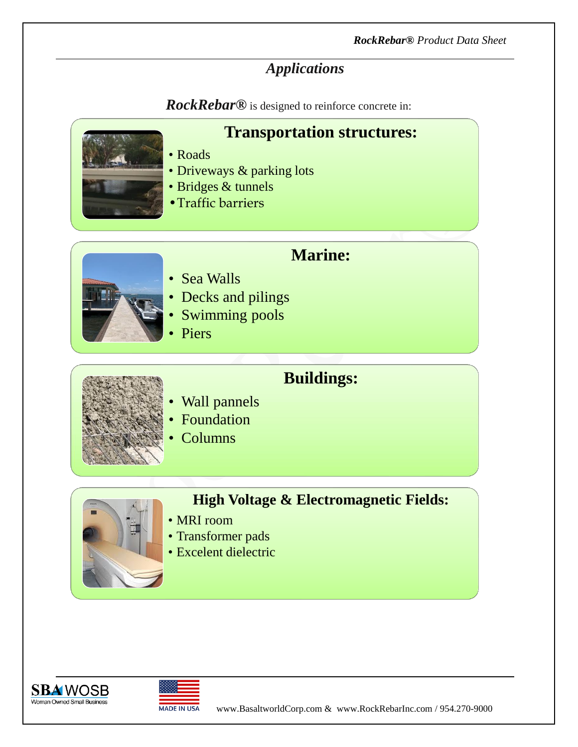## *Applications*

*RockRebar®* is designed to reinforce concrete in:



**Transportation structures:** 

- Roads
- Driveways & parking lots
- Bridges & tunnels
- •Traffic barriers



- **Marine:**
- Sea Walls
- Decks and pilings
- Swimming pools
- Piers

## **Buildings:**

- Wall pannels
- **Foundation**
- Columns
- 

## **High Voltage & Electromagnetic Fields:**

- MRI room
- Transformer pads
- Excelent dielectric



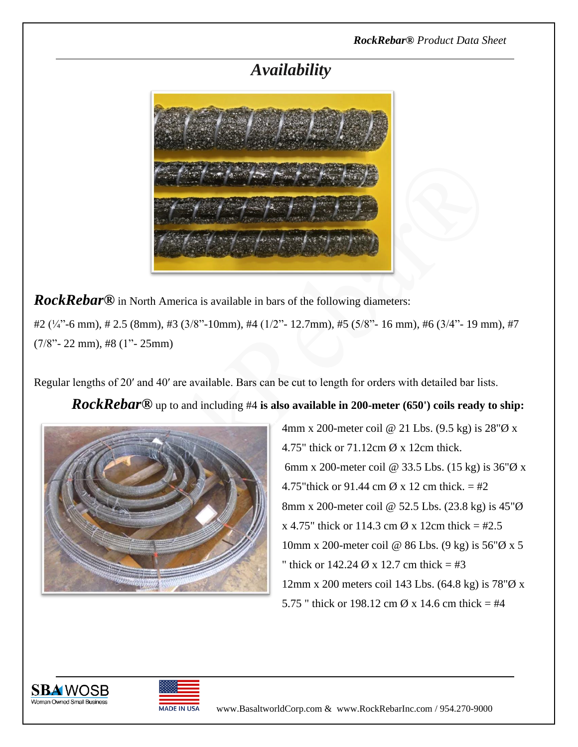## *Availability*



*RockRebar***®** in North America is available in bars of the following diameters:

#2 (¼"-6 mm), # 2.5 (8mm), #3 (3/8"-10mm), #4 (1/2"- 12.7mm), #5 (5/8"- 16 mm), #6 (3/4"- 19 mm), #7 (7/8"- 22 mm), #8 (1"- 25mm)

Regular lengths of 20′ and 40′ are available. Bars can be cut to length for orders with detailed bar lists.

#### *RockRebar***®** up to and including #4 **is also available in 200-meter (650') coils ready to ship:**



4mm x 200-meter coil @ 21 Lbs. (9.5 kg) is 28"Ø x 4.75" thick or 71.12cm Ø x 12cm thick. 6mm x 200-meter coil @ 33.5 Lbs. (15 kg) is  $36\%$  x 4.75"thick or 91.44 cm  $\varnothing$  x 12 cm thick. = #2 8mm x 200-meter coil @ 52.5 Lbs. (23.8 kg) is 45"Ø  $x$  4.75" thick or 114.3 cm  $\varnothing$  x 12cm thick = #2.5 10mm x 200-meter coil @ 86 Lbs. (9 kg) is 56"Ø x 5 " thick or  $142.24 \, \emptyset$  x 12.7 cm thick = #3 12mm x 200 meters coil 143 Lbs. (64.8 kg) is 78"Ø x 5.75 " thick or 198.12 cm  $\varnothing$  x 14.6 cm thick = #4



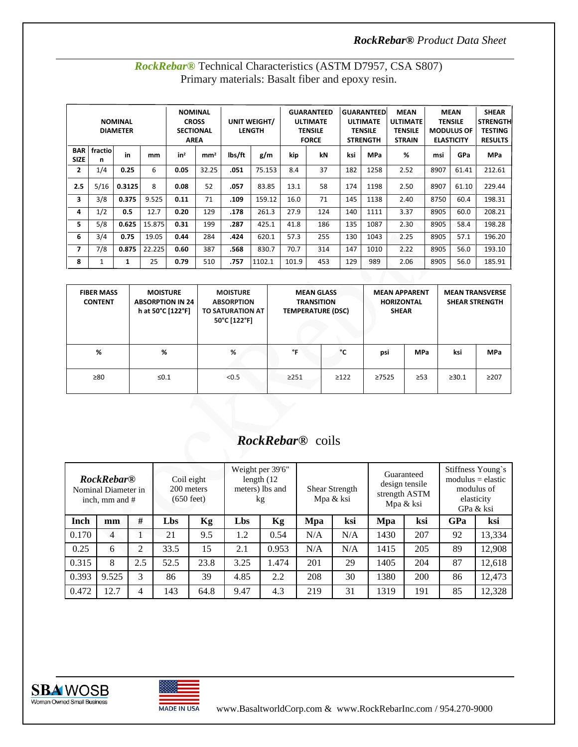#### *RockRebar® Product Data Sheet*

| <b>NOMINAL</b><br><b>DIAMETER</b> |              |        |        | <b>NOMINAL</b><br><b>CROSS</b><br><b>SECTIONAL</b><br><b>AREA</b> |                 | UNIT WEIGHT/<br><b>LENGTH</b> |        | <b>GUARANTEED</b><br>ULTIMATE<br><b>TENSILE</b><br><b>FORCE</b> |     | <b>GUARANTEED</b><br><b>ULTIMATE</b><br><b>TENSILE</b><br><b>STRENGTH</b> |            | <b>MEAN</b><br><b>MEAN</b><br><b>ULTIMATE</b><br><b>TENSILE</b><br><b>TENSILE</b><br><b>MODULUS OF</b><br><b>STRAIN</b><br><b>ELASTICITY</b> |      |       | <b>SHEAR</b><br><b>STRENGTH</b><br><b>TESTING</b><br><b>RESULTS</b> |
|-----------------------------------|--------------|--------|--------|-------------------------------------------------------------------|-----------------|-------------------------------|--------|-----------------------------------------------------------------|-----|---------------------------------------------------------------------------|------------|----------------------------------------------------------------------------------------------------------------------------------------------|------|-------|---------------------------------------------------------------------|
| <b>BAR</b><br><b>SIZE</b>         | fractio<br>n | in     | mm     | in <sup>2</sup>                                                   | mm <sup>2</sup> | lbs/ft                        | g/m    | kip                                                             | kN  | ksi                                                                       | <b>MPa</b> | %                                                                                                                                            | msi  | GPa   | <b>MPa</b>                                                          |
| $\overline{2}$                    | 1/4          | 0.25   | 6      | 0.05                                                              | 32.25           | .051                          | 75.153 | 8.4                                                             | 37  | 182                                                                       | 1258       | 2.52                                                                                                                                         | 8907 | 61.41 | 212.61                                                              |
| 2.5                               | 5/16         | 0.3125 | 8      | 0.08                                                              | 52              | .057                          | 83.85  | 13.1                                                            | 58  | 174                                                                       | 1198       | 2.50                                                                                                                                         | 8907 | 61.10 | 229.44                                                              |
| 3                                 | 3/8          | 0.375  | 9.525  | 0.11                                                              | 71              | .109                          | 159.12 | 16.0                                                            | 71  | 145                                                                       | 1138       | 2.40                                                                                                                                         | 8750 | 60.4  | 198.31                                                              |
| 4                                 | 1/2          | 0.5    | 12.7   | 0.20                                                              | 129             | .178                          | 261.3  | 27.9                                                            | 124 | 140                                                                       | 1111       | 3.37                                                                                                                                         | 8905 | 60.0  | 208.21                                                              |
| 5                                 | 5/8          | 0.625  | 15.875 | 0.31                                                              | 199             | .287                          | 425.1  | 41.8                                                            | 186 | 135                                                                       | 1087       | 2.30                                                                                                                                         | 8905 | 58.4  | 198.28                                                              |
| 6                                 | 3/4          | 0.75   | 19.05  | 0.44                                                              | 284             | .424                          | 620.1  | 57.3                                                            | 255 | 130                                                                       | 1043       | 2.25                                                                                                                                         | 8905 | 57.1  | 196.20                                                              |
| $\overline{ }$                    | 7/8          | 0.875  | 22.225 | 0.60                                                              | 387             | .568                          | 830.7  | 70.7                                                            | 314 | 147                                                                       | 1010       | 2.22                                                                                                                                         | 8905 | 56.0  | 193.10                                                              |
| 8                                 | 1            | 1      | 25     | 0.79                                                              | 510             | .757                          | 1102.1 | 101.9                                                           | 453 | 129                                                                       | 989        | 2.06                                                                                                                                         | 8905 | 56.0  | 185.91                                                              |
|                                   |              |        |        |                                                                   |                 |                               |        |                                                                 |     |                                                                           |            |                                                                                                                                              |      |       |                                                                     |

#### *RockRebar®* Technical Characteristics (ASTM D7957, CSA S807) Primary materials: Basalt fiber and epoxy resin.

| <b>FIBER MASS</b><br><b>CONTENT</b> | <b>MOISTURE</b><br><b>ABSORPTION IN 24</b><br>h at 50°C [122°F] | <b>MOISTURE</b><br><b>ABSORPTION</b><br>TO SATURATION AT<br>50°C [122°F] | <b>MEAN GLASS</b><br><b>TRANSITION</b><br><b>TEMPERATURE (DSC)</b> |            | <b>MEAN APPARENT</b><br><b>HORIZONTAL</b><br><b>SHEAR</b> |            | <b>MEAN TRANSVERSE</b><br><b>SHEAR STRENGTH</b> |            |
|-------------------------------------|-----------------------------------------------------------------|--------------------------------------------------------------------------|--------------------------------------------------------------------|------------|-----------------------------------------------------------|------------|-------------------------------------------------|------------|
| %                                   | %                                                               | %                                                                        | °F                                                                 | °C         | psi                                                       | <b>MPa</b> | ksi                                             | <b>MPa</b> |
| $\geq 80$                           | $\leq 0.1$                                                      | < 0.5                                                                    | $\geq$ 251                                                         | $\geq$ 122 | >7525                                                     | $\geq$ 53  | >30.1                                           | $\geq$ 207 |

# *RockRebar®* coils

| <b>RockRebar</b> <sup>®</sup><br>Nominal Diameter in<br>inch, mm and # |       |     | Coil eight<br>200 meters<br>$(650 \text{ feet})$ |      | Weight per 39'6"<br>length $(12)$<br>meters) lbs and<br>kg |       | Shear Strength<br>Mpa & ksi |     | Guaranteed<br>design tensile<br>strength ASTM<br>Mpa & ksi |     | Stiffness Young's<br>$modulus = elastic$<br>modulus of<br>elasticity<br>GPa & ksi |        |
|------------------------------------------------------------------------|-------|-----|--------------------------------------------------|------|------------------------------------------------------------|-------|-----------------------------|-----|------------------------------------------------------------|-----|-----------------------------------------------------------------------------------|--------|
| Inch                                                                   | mm    | #   | Lbs                                              | Kg   | Lbs                                                        | Kg    | Mpa                         | ksi | Mpa                                                        | ksi | GPa                                                                               | ksi    |
| 0.170                                                                  | 4     |     | 21                                               | 9.5  | 1.2                                                        | 0.54  | N/A                         | N/A | 1430                                                       | 207 | 92                                                                                | 13,334 |
| 0.25                                                                   | 6     | 2   | 33.5                                             | 15   | 2.1                                                        | 0.953 | N/A                         | N/A | 1415                                                       | 205 | 89                                                                                | 12,908 |
| 0.315                                                                  | 8     | 2.5 | 52.5                                             | 23.8 | 3.25                                                       | 1.474 | 201                         | 29  | 1405                                                       | 204 | 87                                                                                | 12,618 |
| 0.393                                                                  | 9.525 | 3   | 86                                               | 39   | 4.85                                                       | 2.2   | 208                         | 30  | 1380                                                       | 200 | 86                                                                                | 12,473 |
| 0.472                                                                  | 12.7  | 4   | 143                                              | 64.8 | 9.47                                                       | 4.3   | 219                         | 31  | 1319                                                       | 191 | 85                                                                                | 12,328 |





MADE IN USA www.BasaltworldCorp.com & [www.RockR](http://www.rock/)ebarInc.com / 954.270-9000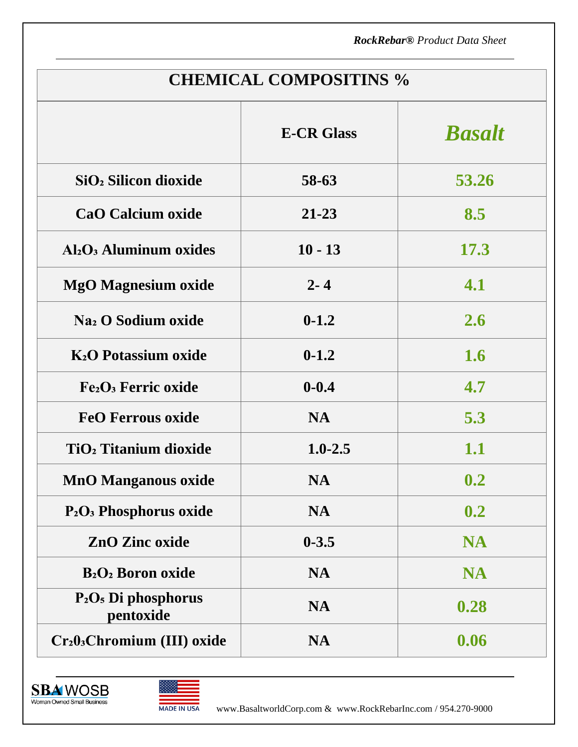*RockRebar® Product Data Sheet*

| <b>CHEMICAL COMPOSITINS %</b>                       |                   |               |  |  |  |  |  |  |
|-----------------------------------------------------|-------------------|---------------|--|--|--|--|--|--|
|                                                     | <b>E-CR Glass</b> | <b>Basalt</b> |  |  |  |  |  |  |
| SiO <sub>2</sub> Silicon dioxide                    | 58-63             | 53.26         |  |  |  |  |  |  |
| <b>CaO Calcium oxide</b>                            | $21 - 23$         | 8.5           |  |  |  |  |  |  |
| Al <sub>2</sub> O <sub>3</sub> Aluminum oxides      | $10 - 13$         | 17.3          |  |  |  |  |  |  |
| <b>MgO Magnesium oxide</b>                          | $2 - 4$           | 4.1           |  |  |  |  |  |  |
| Na <sub>2</sub> O Sodium oxide                      | $0 - 1.2$         | 2.6           |  |  |  |  |  |  |
| <b>K<sub>2</sub>O</b> Potassium oxide               | $0 - 1.2$         | 1.6           |  |  |  |  |  |  |
| Fe <sub>2</sub> O <sub>3</sub> Ferric oxide         | $0 - 0.4$         | 4.7           |  |  |  |  |  |  |
| <b>FeO Ferrous oxide</b>                            | <b>NA</b>         | 5.3           |  |  |  |  |  |  |
| TiO <sub>2</sub> Titanium dioxide                   | $1.0 - 2.5$       | 1.1           |  |  |  |  |  |  |
| <b>MnO Manganous oxide</b>                          | <b>NA</b>         | 0.2           |  |  |  |  |  |  |
| P <sub>2</sub> O <sub>3</sub> Phosphorus oxide      | <b>NA</b>         | 0.2           |  |  |  |  |  |  |
| <b>ZnO Zinc oxide</b>                               | $0 - 3.5$         | <b>NA</b>     |  |  |  |  |  |  |
| <b>B</b> <sub>2</sub> O <sub>2</sub> Boron oxide    | <b>NA</b>         | <b>NA</b>     |  |  |  |  |  |  |
| $P_2O_5$ Di phosphorus<br>pentoxide                 | <b>NA</b>         | 0.28          |  |  |  |  |  |  |
| Cr <sub>2</sub> 0 <sub>3</sub> Chromium (III) oxide | <b>NA</b>         | 0.06          |  |  |  |  |  |  |





MADE IN USA www.BasaltworldCorp.com & [www.RockR](http://www.rock/)ebarInc.com / 954.270-9000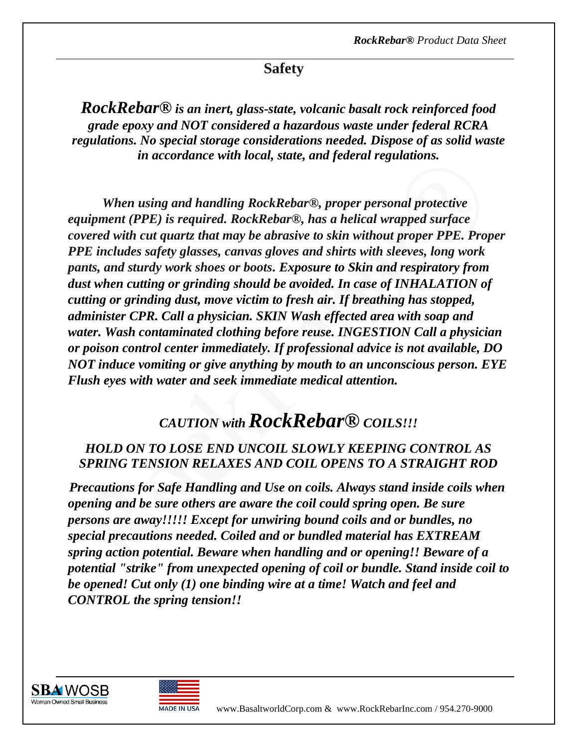## **Safety**

*RockRebar® is an inert, glass-state, volcanic basalt rock reinforced food grade epoxy and NOT considered a hazardous waste under federal RCRA regulations. No special storage considerations needed. Dispose of as solid waste in accordance with local, state, and federal regulations.*

 *When using and handling RockRebar®, proper personal protective equipment (PPE) is required. RockRebar®, has a helical wrapped surface covered with cut quartz that may be abrasive to skin without proper PPE. Proper PPE includes safety glasses, canvas gloves and shirts with sleeves, long work pants, and sturdy work shoes or boots. Exposure to Skin and respiratory from dust when cutting or grinding should be avoided. In case of INHALATION of cutting or grinding dust, move victim to fresh air. If breathing has stopped, administer CPR. Call a physician. SKIN Wash effected area with soap and water. Wash contaminated clothing before reuse. INGESTION Call a physician or poison control center immediately. If professional advice is not available, DO NOT induce vomiting or give anything by mouth to an unconscious person. EYE Flush eyes with water and seek immediate medical attention.* 

# *CAUTION with RockRebar® COILS!!!*

#### *HOLD ON TO LOSE END UNCOIL SLOWLY KEEPING CONTROL AS SPRING TENSION RELAXES AND COIL OPENS TO A STRAIGHT ROD*

 *Precautions for Safe Handling and Use on coils. Always stand inside coils when opening and be sure others are aware the coil could spring open. Be sure persons are away!!!!! Except for unwiring bound coils and or bundles, no special precautions needed. Coiled and or bundled material has EXTREAM spring action potential. Beware when handling and or opening!! Beware of a potential "strike" from unexpected opening of coil or bundle. Stand inside coil to be opened! Cut only (1) one binding wire at a time! Watch and feel and CONTROL the spring tension!!*